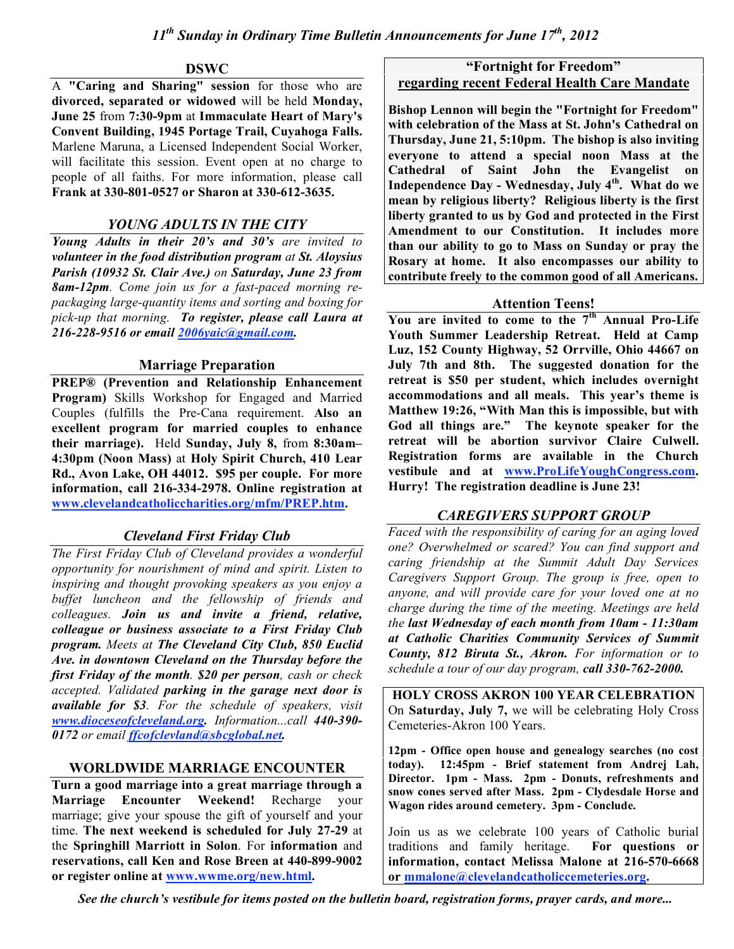## **DSWC**

A **"Caring and Sharing" session** for those who are **divorced, separated or widowed** will be held **Monday, June 25** from **7:30-9pm** at **Immaculate Heart of Mary's Convent Building, 1945 Portage Trail, Cuyahoga Falls.** Marlene Maruna, a Licensed Independent Social Worker, will facilitate this session. Event open at no charge to people of all faiths. For more information, please call **Frank at 330-801-0527 or Sharon at 330-612-3635.**

# *YOUNG ADULTS IN THE CITY*

*Young Adults in their 20's and 30's are invited to volunteer in the food distribution program at St. Aloysius Parish (10932 St. Clair Ave.) on Saturday, June 23 from 8am-12pm. Come join us for a fast-paced morning repackaging large-quantity items and sorting and boxing for pick-up that morning. To register, please call Laura at 216-228-9516 or email 2006yaic@gmail.com.*

## **Marriage Preparation**

**PREP® (Prevention and Relationship Enhancement Program)** Skills Workshop for Engaged and Married Couples (fulfills the Pre-Cana requirement. **Also an excellent program for married couples to enhance their marriage).** Held **Sunday, July 8,** from **8:30am– 4:30pm (Noon Mass)** at **Holy Spirit Church, 410 Lear Rd., Avon Lake, OH 44012. \$95 per couple. For more information, call 216-334-2978. Online registration at www.clevelandcatholiccharities.org/mfm/PREP.htm.**

# *Cleveland First Friday Club*

*The First Friday Club of Cleveland provides a wonderful opportunity for nourishment of mind and spirit. Listen to inspiring and thought provoking speakers as you enjoy a buffet luncheon and the fellowship of friends and colleagues. Join us and invite a friend, relative, colleague or business associate to a First Friday Club program. Meets at The Cleveland City Club, 850 Euclid Ave. in downtown Cleveland on the Thursday before the first Friday of the month. \$20 per person, cash or check accepted. Validated parking in the garage next door is available for \$3. For the schedule of speakers, visit www.dioceseofcleveland.org. Information...call 440-390- 0172 or email ffcofclevland@sbcglobal.net.*

# **WORLDWIDE MARRIAGE ENCOUNTER**

**Turn a good marriage into a great marriage through a Marriage Encounter Weekend!** Recharge your marriage; give your spouse the gift of yourself and your time. **The next weekend is scheduled for July 27-29** at the **Springhill Marriott in Solon**. For **information** and **reservations, call Ken and Rose Breen at 440-899-9002 or register online at www.wwme.org/new.html.**

# **"Fortnight for Freedom" regarding recent Federal Health Care Mandate**

**Bishop Lennon will begin the "Fortnight for Freedom" with celebration of the Mass at St. John's Cathedral on Thursday, June 21, 5:10pm. The bishop is also inviting everyone to attend a special noon Mass at the Cathedral of Saint John the Evangelist on Independence Day - Wednesday, July 4th . What do we mean by religious liberty? Religious liberty is the first liberty granted to us by God and protected in the First Amendment to our Constitution. It includes more than our ability to go to Mass on Sunday or pray the Rosary at home. It also encompasses our ability to contribute freely to the common good of all Americans.**

## **Attention Teens!**

**You are invited to come to the 7th Annual Pro-Life Youth Summer Leadership Retreat. Held at Camp Luz, 152 County Highway, 52 Orrville, Ohio 44667 on July 7th and 8th. The suggested donation for the retreat is \$50 per student, which includes overnight accommodations and all meals. This year's theme is Matthew 19:26, "With Man this is impossible, but with God all things are." The keynote speaker for the retreat will be abortion survivor Claire Culwell. Registration forms are available in the Church vestibule and at www.ProLifeYoughCongress.com. Hurry! The registration deadline is June 23!**

## *CAREGIVERS SUPPORT GROUP*

*Faced with the responsibility of caring for an aging loved one? Overwhelmed or scared? You can find support and caring friendship at the Summit Adult Day Services Caregivers Support Group. The group is free, open to anyone, and will provide care for your loved one at no charge during the time of the meeting. Meetings are held the last Wednesday of each month from 10am - 11:30am at Catholic Charities Community Services of Summit County, 812 Biruta St., Akron. For information or to schedule a tour of our day program, call 330-762-2000.*

**HOLY CROSS AKRON 100 YEAR CELEBRATION** On **Saturday, July 7,** we will be celebrating Holy Cross Cemeteries-Akron 100 Years.

**12pm - Office open house and genealogy searches (no cost today). 12:45pm - Brief statement from Andrej Lah, Director. 1pm - Mass. 2pm - Donuts, refreshments and snow cones served after Mass. 2pm - Clydesdale Horse and Wagon rides around cemetery. 3pm - Conclude.**

Join us as we celebrate 100 years of Catholic burial traditions and family heritage. **For questions or information, contact Melissa Malone at 216-570-6668 or mmalone@clevelandcatholiccemeteries.org.**

*See the church's vestibule for items posted on the bulletin board, registration forms, prayer cards, and more...*